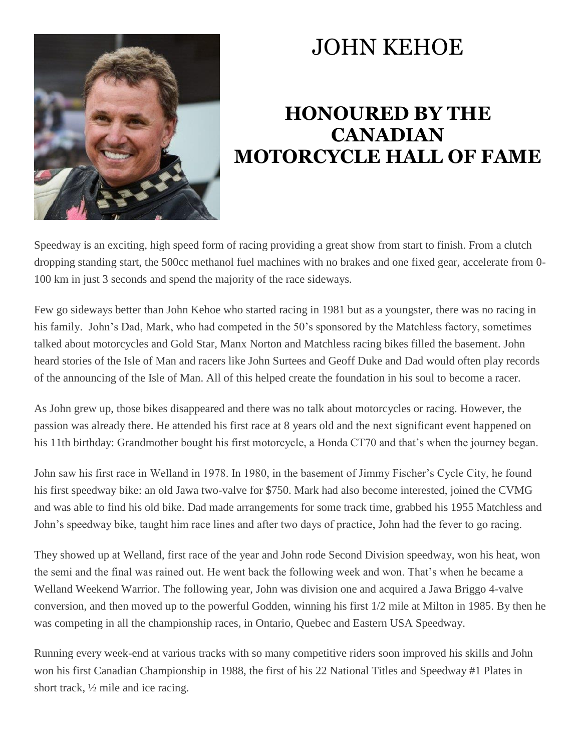

## JOHN KEHOE

## **HONOURED BY THE CANADIAN MOTORCYCLE HALL OF FAME**

Speedway is an exciting, high speed form of racing providing a great show from start to finish. From a clutch dropping standing start, the 500cc methanol fuel machines with no brakes and one fixed gear, accelerate from 0- 100 km in just 3 seconds and spend the majority of the race sideways.

Few go sideways better than John Kehoe who started racing in 1981 but as a youngster, there was no racing in his family. John's Dad, Mark, who had competed in the 50's sponsored by the Matchless factory, sometimes talked about motorcycles and Gold Star, Manx Norton and Matchless racing bikes filled the basement. John heard stories of the Isle of Man and racers like John Surtees and Geoff Duke and Dad would often play records of the announcing of the Isle of Man. All of this helped create the foundation in his soul to become a racer.

As John grew up, those bikes disappeared and there was no talk about motorcycles or racing. However, the passion was already there. He attended his first race at 8 years old and the next significant event happened on his 11th birthday: Grandmother bought his first motorcycle, a Honda CT70 and that's when the journey began.

John saw his first race in Welland in 1978. In 1980, in the basement of Jimmy Fischer's Cycle City, he found his first speedway bike: an old Jawa two-valve for \$750. Mark had also become interested, joined the CVMG and was able to find his old bike. Dad made arrangements for some track time, grabbed his 1955 Matchless and John's speedway bike, taught him race lines and after two days of practice, John had the fever to go racing.

They showed up at Welland, first race of the year and John rode Second Division speedway, won his heat, won the semi and the final was rained out. He went back the following week and won. That's when he became a Welland Weekend Warrior. The following year, John was division one and acquired a Jawa Briggo 4-valve conversion, and then moved up to the powerful Godden, winning his first 1/2 mile at Milton in 1985. By then he was competing in all the championship races, in Ontario, Quebec and Eastern USA Speedway.

Running every week-end at various tracks with so many competitive riders soon improved his skills and John won his first Canadian Championship in 1988, the first of his 22 National Titles and Speedway #1 Plates in short track, ½ mile and ice racing.